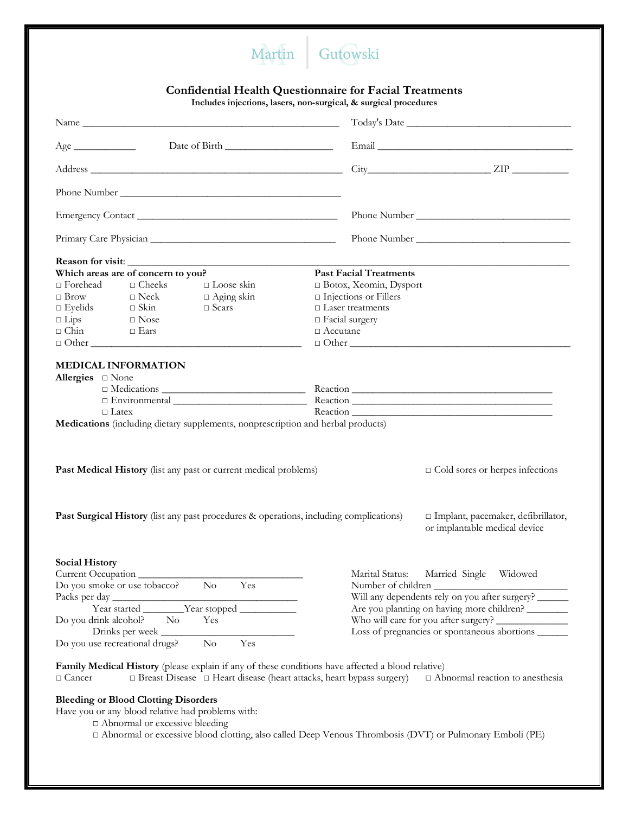

## **Confidential Health Questionnaire for Facial Treatments**

**Includes injections, lasers, non-surgical, & surgical procedures**

| Age                                                                                                                                                                                                                                      |                                                                                                                              |  |  |
|------------------------------------------------------------------------------------------------------------------------------------------------------------------------------------------------------------------------------------------|------------------------------------------------------------------------------------------------------------------------------|--|--|
| Address                                                                                                                                                                                                                                  | $City$ $ZIP$ $\_\_\_\_\_\_$                                                                                                  |  |  |
|                                                                                                                                                                                                                                          |                                                                                                                              |  |  |
|                                                                                                                                                                                                                                          |                                                                                                                              |  |  |
|                                                                                                                                                                                                                                          |                                                                                                                              |  |  |
| Reason for visit:<br>Which areas are of concern to you?<br>$\hfill\Box$ Forehead<br>$\Box$ Cheeks<br>$\Box$ Loose skin<br>$\Box$ Brow<br>$\Box$ Aging skin<br>$\Box$ Neck<br>$\Box$ Scars                                                | <b>Past Facial Treatments</b><br>$\Box$ Botox, Xeomin, Dysport<br>$\Box$ Injections or Fillers<br>$\Box$<br>Laser treatments |  |  |
| $\square$ Eyelids $\square$ Skin $\square$ Lips $\square$ Nose<br>$\Box$ Chin $\Box$ Ears                                                                                                                                                | $\Box$ Facial surgery<br>$\Box$ Accutane                                                                                     |  |  |
| <b>MEDICAL INFORMATION</b><br>Allergies $\square$ None<br>$\Box$ Latex<br>Medications (including dietary supplements, nonprescription and herbal products)                                                                               |                                                                                                                              |  |  |
| Past Medical History (list any past or current medical problems)                                                                                                                                                                         | $\Box$ Cold sores or herpes infections                                                                                       |  |  |
| <b>Past Surgical History</b> (list any past procedures & operations, including complications)                                                                                                                                            | □ Implant, pacemaker, defibrillator,<br>or implantable medical device                                                        |  |  |
| <b>Social History</b><br>Current Occupation<br>$\rm No$<br>Yes<br>Do you smoke or use tobacco?<br>Packs per day                                                                                                                          | Marital Status:<br>Married Single Widowed<br>Number of children<br>Will any dependents rely on you after surgery? ______     |  |  |
| Year started ________Year stopped __________<br>Do you drink alcohol?<br>No.<br>Yes<br>Drinks per week<br>$\rm No$<br>Yes                                                                                                                | Are you planning on having more children? ________<br>Loss of pregnancies or spontaneous abortions _______                   |  |  |
| Do you use recreational drugs?<br>Family Medical History (please explain if any of these conditions have affected a blood relative)<br>$\Box$ Breast Disease $\Box$ Heart disease (heart attacks, heart bypass surgery)<br>$\Box$ Cancer | $\Box$ Abnormal reaction to anesthesia                                                                                       |  |  |
| <b>Bleeding or Blood Clotting Disorders</b><br>Have you or any blood relative had problems with:<br>$\Box$ Abnormal or excessive bleeding                                                                                                | $\Box$ Abnormal or excessive blood clotting, also called Deep Venous Thrombosis (DVT) or Pulmonary Emboli (PE)               |  |  |